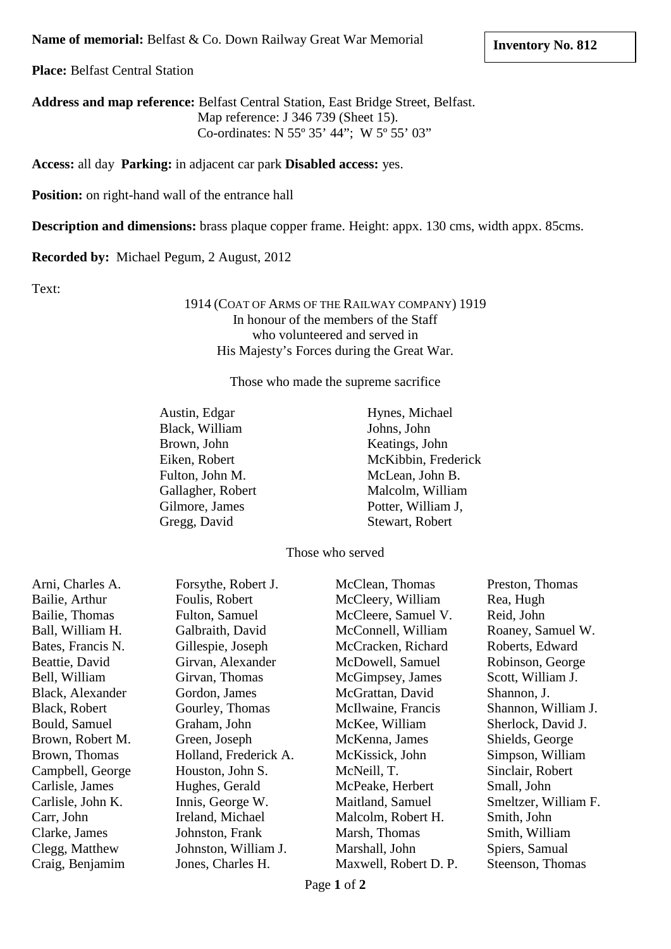**Name of memorial:** Belfast & Co. Down Railway Great War Memorial

**Place:** Belfast Central Station

**Address and map reference:** Belfast Central Station, East Bridge Street, Belfast. Map reference: J 346 739 (Sheet 15). Co-ordinates: N 55º 35' 44"; W 5º 55' 03"

**Access:** all day **Parking:** in adjacent car park **Disabled access:** yes.

**Position:** on right-hand wall of the entrance hall

**Description and dimensions:** brass plaque copper frame. Height: appx. 130 cms, width appx. 85cms.

**Recorded by:** Michael Pegum, 2 August, 2012

Text:

1914 (COAT OF ARMS OF THE RAILWAY COMPANY) 1919 In honour of the members of the Staff who volunteered and served in His Majesty's Forces during the Great War.

Those who made the supreme sacrifice

| Austin, Edgar     |
|-------------------|
| Black, William    |
| Brown, John       |
| Eiken, Robert     |
| Fulton, John M.   |
| Gallagher, Robert |
| Gilmore, James    |
| Gregg, David      |

Hynes, Michael Johns, John Keatings, John McKibbin, Frederick McLean, John B. Malcolm, William Potter, William J, Stewart, Robert

Those who served

| Arni, Charles A.  | Forsythe, Robert J.   | McClean, Thomas       | Preston, Thomas      |
|-------------------|-----------------------|-----------------------|----------------------|
|                   |                       |                       |                      |
| Bailie, Arthur    | Foulis, Robert        | McCleery, William     | Rea, Hugh            |
| Bailie, Thomas    | <b>Fulton, Samuel</b> | McCleere, Samuel V.   | Reid, John           |
| Ball, William H.  | Galbraith, David      | McConnell, William    | Roaney, Samuel W.    |
| Bates, Francis N. | Gillespie, Joseph     | McCracken, Richard    | Roberts, Edward      |
| Beattie, David    | Girvan, Alexander     | McDowell, Samuel      | Robinson, George     |
| Bell, William     | Girvan, Thomas        | McGimpsey, James      | Scott, William J.    |
| Black, Alexander  | Gordon, James         | McGrattan, David      | Shannon, J.          |
| Black, Robert     | Gourley, Thomas       | McIlwaine, Francis    | Shannon, William J.  |
| Bould, Samuel     | Graham, John          | McKee, William        | Sherlock, David J.   |
| Brown, Robert M.  | Green, Joseph         | McKenna, James        | Shields, George      |
| Brown, Thomas     | Holland, Frederick A. | McKissick, John       | Simpson, William     |
| Campbell, George  | Houston, John S.      | McNeill, T.           | Sinclair, Robert     |
| Carlisle, James   | Hughes, Gerald        | McPeake, Herbert      | Small, John          |
| Carlisle, John K. | Innis, George W.      | Maitland, Samuel      | Smeltzer, William F. |
| Carr, John        | Ireland, Michael      | Malcolm, Robert H.    | Smith, John          |
| Clarke, James     | Johnston, Frank       | Marsh, Thomas         | Smith, William       |
| Clegg, Matthew    | Johnston, William J.  | Marshall, John        | Spiers, Samual       |
| Craig, Benjamim   | Jones, Charles H.     | Maxwell, Robert D. P. | Steenson, Thomas     |